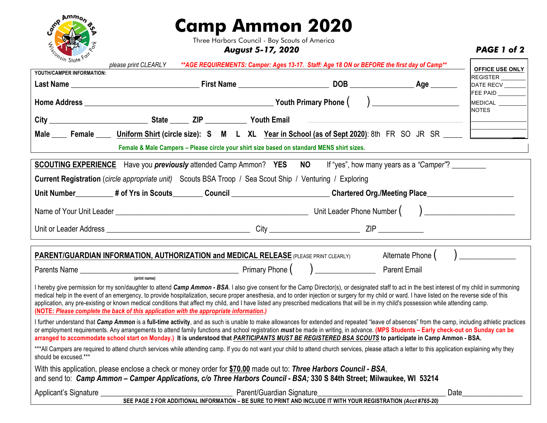

## **Camp Ammon 2020**

Three Harbors Council - Boy Scouts of America

*August 5-17, 2020 PAGE 1 of 2*

| " <sup>Sin</sup> State <sup>r"</sup>                                                                                                                                                                                                                                                                                                                                                                                                                                                                                                                                                                                                                                                                        | please print CLEARLY ** AGE REQUIREMENTS: Camper: Ages 13-17. Staff: Age 18 ON or BEFORE the first day of Camp**                                                                                                                             |  |  |                     |                                     |  |  |  |  |
|-------------------------------------------------------------------------------------------------------------------------------------------------------------------------------------------------------------------------------------------------------------------------------------------------------------------------------------------------------------------------------------------------------------------------------------------------------------------------------------------------------------------------------------------------------------------------------------------------------------------------------------------------------------------------------------------------------------|----------------------------------------------------------------------------------------------------------------------------------------------------------------------------------------------------------------------------------------------|--|--|---------------------|-------------------------------------|--|--|--|--|
| YOUTH/CAMPER INFORMATION:                                                                                                                                                                                                                                                                                                                                                                                                                                                                                                                                                                                                                                                                                   |                                                                                                                                                                                                                                              |  |  |                     | OFFICE USE ONLY<br><b>REGISTER</b>  |  |  |  |  |
|                                                                                                                                                                                                                                                                                                                                                                                                                                                                                                                                                                                                                                                                                                             |                                                                                                                                                                                                                                              |  |  |                     | DATE RECV                           |  |  |  |  |
|                                                                                                                                                                                                                                                                                                                                                                                                                                                                                                                                                                                                                                                                                                             |                                                                                                                                                                                                                                              |  |  |                     | FEE PAID<br>MEDICAL<br><b>NOTES</b> |  |  |  |  |
|                                                                                                                                                                                                                                                                                                                                                                                                                                                                                                                                                                                                                                                                                                             |                                                                                                                                                                                                                                              |  |  |                     |                                     |  |  |  |  |
|                                                                                                                                                                                                                                                                                                                                                                                                                                                                                                                                                                                                                                                                                                             | Male _____ Female ______ Uniform Shirt (circle size): S M L XL Year in School (as of Sept 2020): 8th FR SO JR SR _____                                                                                                                       |  |  |                     |                                     |  |  |  |  |
| Female & Male Campers - Please circle your shirt size based on standard MENS shirt sizes.                                                                                                                                                                                                                                                                                                                                                                                                                                                                                                                                                                                                                   |                                                                                                                                                                                                                                              |  |  |                     |                                     |  |  |  |  |
| SCOUTING EXPERIENCE Have you previously attended Camp Ammon? YES NO If "yes", how many years as a "Camper"? _______                                                                                                                                                                                                                                                                                                                                                                                                                                                                                                                                                                                         |                                                                                                                                                                                                                                              |  |  |                     |                                     |  |  |  |  |
| <b>Current Registration</b> (circle appropriate unit) Scouts BSA Troop / Sea Scout Ship / Venturing / Exploring                                                                                                                                                                                                                                                                                                                                                                                                                                                                                                                                                                                             |                                                                                                                                                                                                                                              |  |  |                     |                                     |  |  |  |  |
| Unit Number_________# of Yrs in Scouts________Council ________________________Chartered Org./Meeting Place_____________________________                                                                                                                                                                                                                                                                                                                                                                                                                                                                                                                                                                     |                                                                                                                                                                                                                                              |  |  |                     |                                     |  |  |  |  |
|                                                                                                                                                                                                                                                                                                                                                                                                                                                                                                                                                                                                                                                                                                             |                                                                                                                                                                                                                                              |  |  |                     |                                     |  |  |  |  |
|                                                                                                                                                                                                                                                                                                                                                                                                                                                                                                                                                                                                                                                                                                             |                                                                                                                                                                                                                                              |  |  |                     |                                     |  |  |  |  |
|                                                                                                                                                                                                                                                                                                                                                                                                                                                                                                                                                                                                                                                                                                             |                                                                                                                                                                                                                                              |  |  |                     |                                     |  |  |  |  |
|                                                                                                                                                                                                                                                                                                                                                                                                                                                                                                                                                                                                                                                                                                             | PARENT/GUARDIAN INFORMATION, AUTHORIZATION and MEDICAL RELEASE (PLEASE PRINT CLEARLY) Alternate Phone ( ) __________                                                                                                                         |  |  |                     |                                     |  |  |  |  |
|                                                                                                                                                                                                                                                                                                                                                                                                                                                                                                                                                                                                                                                                                                             |                                                                                                                                                                                                                                              |  |  | <b>Parent Email</b> |                                     |  |  |  |  |
| (print name)<br>I hereby give permission for my son/daughter to attend Camp Ammon - BSA. I also give consent for the Camp Director(s), or designated staff to act in the best interest of my child in summoning<br>medical help in the event of an emergency, to provide hospitalization, secure proper anesthesia, and to order injection or surgery for my child or ward. I have listed on the reverse side of this<br>application, any pre-existing or known medical conditions that affect my child, and I have listed any prescribed medications that will be in my child's possession while attending camp.<br>(NOTE: Please complete the back of this application with the appropriate information.) |                                                                                                                                                                                                                                              |  |  |                     |                                     |  |  |  |  |
| I further understand that Camp Ammon is a full-time activity, and as such is unable to make allowances for extended and repeated "leave of absences" from the camp, including athletic practices<br>or employment requirements. Any arrangements to attend family functions and school registration must be made in writing, in advance. (MPS Students - Early check-out on Sunday can be<br>arranged to accommodate school start on Monday.) It is understood that PARTICIPANTS MUST BE REGISTERED BSA SCOUTS to participate in Camp Ammon - BSA.                                                                                                                                                          |                                                                                                                                                                                                                                              |  |  |                     |                                     |  |  |  |  |
| should be excused.***                                                                                                                                                                                                                                                                                                                                                                                                                                                                                                                                                                                                                                                                                       | *** All Campers are required to attend church services while attending camp. If you do not want your child to attend church services, please attach a letter to this application explaining why they                                         |  |  |                     |                                     |  |  |  |  |
|                                                                                                                                                                                                                                                                                                                                                                                                                                                                                                                                                                                                                                                                                                             | With this application, please enclose a check or money order for \$70.00 made out to: Three Harbors Council - BSA,<br>and send to: Camp Ammon - Camper Applications, c/o Three Harbors Council - BSA; 330 S 84th Street; Milwaukee, WI 53214 |  |  |                     |                                     |  |  |  |  |
| Applicant's Signature _______________                                                                                                                                                                                                                                                                                                                                                                                                                                                                                                                                                                                                                                                                       | Determined by Parent/Guardian Signature<br>SEE PAGE 2 FOR ADDITIONAL INFORMATION - BE SURE TO PRINT AND INCLUDE IT WITH YOUR REGISTRATION (Acct #765-20)                                                                                     |  |  |                     | Date <sub>_________</sub>           |  |  |  |  |